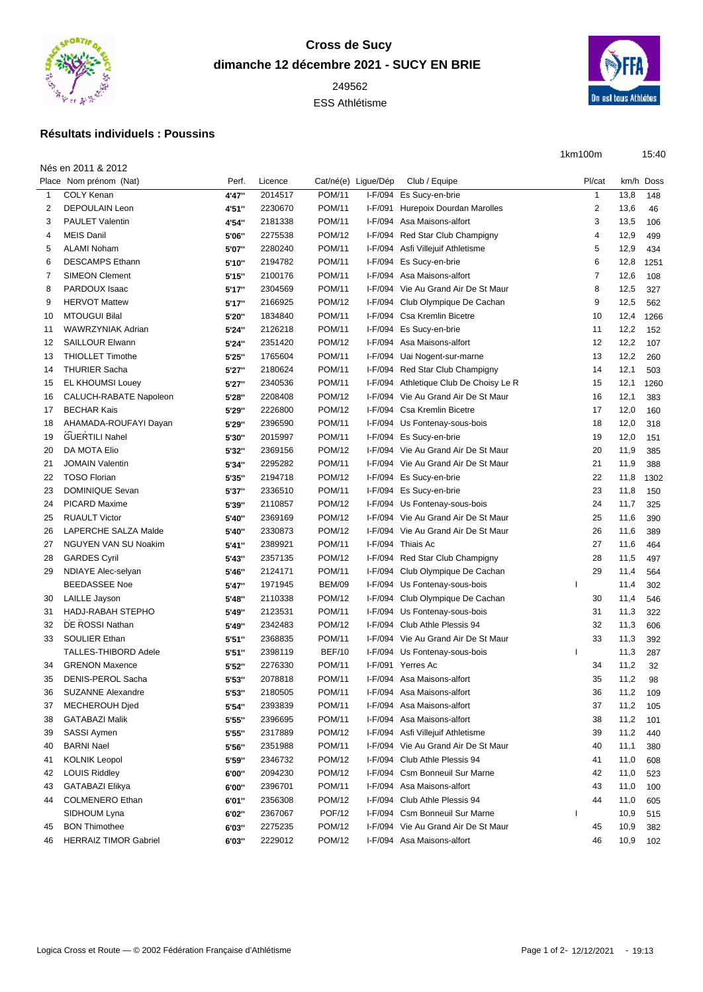

## **Cross de Sucy dimanche 12 décembre 2021 - SUCY EN BRIE**

ESS Athlétisme



15:40

## **Résultats individuels : Poussins**

|                        |       |         |               |                     |                         | 1km100m |      | 15:40     |
|------------------------|-------|---------|---------------|---------------------|-------------------------|---------|------|-----------|
| Nés en 2011 & 2012     |       |         |               |                     |                         |         |      |           |
| Place Nom prénom (Nat) | Perf. | Licence |               | Cat/né(e) Lique/Dép | Club / Equipe           | Pl/cat  |      | km/h Doss |
| COLY Kenan             | 4'47" | 2014517 | <b>POM/11</b> |                     | I-F/094 Es Sucy-en-brie |         | 13.8 | 148       |

| $\mathbf{1}$ | <b>COLY Kenan</b>            | 4'47" | 2014517 | <b>POM/11</b> |         | I-F/094 Es Sucy-en-brie                | $\mathbf{1}$ | 13,8 | 148  |
|--------------|------------------------------|-------|---------|---------------|---------|----------------------------------------|--------------|------|------|
| 2            | <b>DEPOULAIN Leon</b>        | 4'51" | 2230670 | <b>POM/11</b> |         | I-F/091 Hurepoix Dourdan Marolles      | 2            | 13,6 | 46   |
| 3            | <b>PAULET Valentin</b>       | 4'54" | 2181338 | <b>POM/11</b> |         | I-F/094 Asa Maisons-alfort             | 3            | 13,5 | 106  |
| 4            | <b>MEIS Danil</b>            | 5'06" | 2275538 | <b>POM/12</b> |         | I-F/094 Red Star Club Champigny        | 4            | 12,9 | 499  |
| 5            | <b>ALAMI Noham</b>           | 5'07" | 2280240 | <b>POM/11</b> | I-F/094 | Asfi Villejuif Athletisme              | 5            | 12,9 | 434  |
| 6            | <b>DESCAMPS Ethann</b>       | 5'10" | 2194782 | <b>POM/11</b> |         | I-F/094 Es Sucy-en-brie                | 6            | 12,8 | 1251 |
| 7            | <b>SIMEON Clement</b>        | 5'15" | 2100176 | <b>POM/11</b> |         | I-F/094 Asa Maisons-alfort             | 7            | 12,6 | 108  |
| 8            | PARDOUX Isaac                | 5'17" | 2304569 | <b>POM/11</b> |         | I-F/094 Vie Au Grand Air De St Maur    | 8            | 12,5 | 327  |
| 9            | <b>HERVOT Mattew</b>         | 5'17" | 2166925 | <b>POM/12</b> |         | I-F/094 Club Olympique De Cachan       | 9            | 12,5 | 562  |
| 10           | <b>MTOUGUI Bilal</b>         | 5'20" | 1834840 | <b>POM/11</b> |         | I-F/094 Csa Kremlin Bicetre            | 10           | 12,4 | 1266 |
| 11           | <b>WAWRZYNIAK Adrian</b>     | 5'24" | 2126218 | <b>POM/11</b> |         | I-F/094 Es Sucy-en-brie                | 11           | 12,2 | 152  |
| 12           | <b>SAILLOUR Elwann</b>       | 5'24" | 2351420 | <b>POM/12</b> |         | I-F/094 Asa Maisons-alfort             | 12           | 12,2 | 107  |
| 13           | <b>THIOLLET Timothe</b>      | 5'25" | 1765604 | <b>POM/11</b> | I-F/094 | Uai Nogent-sur-marne                   | 13           | 12,2 | 260  |
| 14           | <b>THURIER Sacha</b>         | 5'27" | 2180624 | <b>POM/11</b> |         | I-F/094 Red Star Club Champigny        | 14           | 12,1 | 503  |
| 15           | <b>EL KHOUMSI Louey</b>      | 5'27" | 2340536 | <b>POM/11</b> |         | I-F/094 Athletique Club De Choisy Le R | 15           | 12,1 | 1260 |
| 16           | CALUCH-RABATE Napoleon       | 5'28" | 2208408 | <b>POM/12</b> |         | I-F/094 Vie Au Grand Air De St Maur    | 16           | 12,1 | 383  |
| 17           | <b>BECHAR Kais</b>           | 5'29" | 2226800 | <b>POM/12</b> |         | I-F/094 Csa Kremlin Bicetre            | 17           | 12,0 | 160  |
| 18           | AHAMADA-ROUFAYI Dayan        | 5'29" | 2396590 | <b>POM/11</b> |         | I-F/094 Us Fontenay-sous-bois          | 18           | 12,0 | 318  |
|              | <b>GUERTILI Nahel</b>        |       |         | <b>POM/11</b> |         |                                        |              |      |      |
| 19           |                              | 5'30" | 2015997 |               |         | I-F/094 Es Sucy-en-brie                | 19           | 12,0 | 151  |
| 20           | DA MOTA Elio                 | 5'32" | 2369156 | <b>POM/12</b> |         | I-F/094 Vie Au Grand Air De St Maur    | 20           | 11,9 | 385  |
| 21           | <b>JOMAIN Valentin</b>       | 5'34" | 2295282 | <b>POM/11</b> |         | I-F/094 Vie Au Grand Air De St Maur    | 21           | 11,9 | 388  |
| 22           | <b>TOSO Florian</b>          | 5'35" | 2194718 | <b>POM/12</b> |         | I-F/094 Es Sucy-en-brie                | 22           | 11,8 | 1302 |
| 23           | <b>DOMINIQUE Sevan</b>       | 5'37" | 2336510 | <b>POM/11</b> |         | I-F/094 Es Sucy-en-brie                | 23           | 11,8 | 150  |
| 24           | <b>PICARD Maxime</b>         | 5'39" | 2110857 | <b>POM/12</b> |         | I-F/094 Us Fontenay-sous-bois          | 24           | 11,7 | 325  |
| 25           | <b>RUAULT Victor</b>         | 5'40" | 2369169 | <b>POM/12</b> |         | I-F/094 Vie Au Grand Air De St Maur    | 25           | 11,6 | 390  |
| 26           | LAPERCHE SALZA Malde         | 5'40" | 2330873 | <b>POM/12</b> |         | I-F/094 Vie Au Grand Air De St Maur    | 26           | 11,6 | 389  |
| 27           | <b>NGUYEN VAN SU Noakim</b>  | 5'41" | 2389921 | <b>POM/11</b> |         | I-F/094 Thiais Ac                      | 27           | 11,6 | 464  |
| 28           | <b>GARDES Cyril</b>          | 5'43" | 2357135 | <b>POM/12</b> |         | I-F/094 Red Star Club Champigny        | 28           | 11,5 | 497  |
| 29           | NDIAYE Alec-selyan           | 5'46" | 2124171 | <b>POM/11</b> |         | I-F/094 Club Olympique De Cachan       | 29           | 11,4 | 564  |
|              | <b>BEEDASSEE Noe</b>         | 5'47" | 1971945 | <b>BEM/09</b> |         | I-F/094 Us Fontenay-sous-bois          |              | 11,4 | 302  |
| 30           | <b>LAILLE Jayson</b>         | 5'48" | 2110338 | <b>POM/12</b> |         | I-F/094 Club Olympique De Cachan       | 30           | 11,4 | 546  |
| 31           | HADJ-RABAH STEPHO            | 5'49" | 2123531 | <b>POM/11</b> |         | I-F/094 Us Fontenay-sous-bois          | 31           | 11,3 | 322  |
| 32           | DE ROSSI Nathan              | 5'49" | 2342483 | <b>POM/12</b> |         | I-F/094 Club Athle Plessis 94          | 32           | 11,3 | 606  |
| 33           | <b>SOULIER Ethan</b>         | 5'51" | 2368835 | <b>POM/11</b> |         | I-F/094 Vie Au Grand Air De St Maur    | 33           | 11,3 | 392  |
|              | <b>TALLES-THIBORD Adele</b>  | 5'51" | 2398119 | <b>BEF/10</b> |         | I-F/094 Us Fontenay-sous-bois          |              | 11,3 | 287  |
| 34           | <b>GRENON Maxence</b>        | 5'52" | 2276330 | <b>POM/11</b> |         | I-F/091 Yerres Ac                      | 34           | 11,2 | 32   |
| 35           | DENIS-PEROL Sacha            | 5'53" | 2078818 | <b>POM/11</b> |         | I-F/094 Asa Maisons-alfort             | 35           | 11,2 | 98   |
| 36           | <b>SUZANNE Alexandre</b>     | 5'53" | 2180505 | <b>POM/11</b> |         | I-F/094 Asa Maisons-alfort             | 36           | 11,2 | 109  |
| 37           | MECHEROUH Djed               | 5'54" | 2393839 | <b>POM/11</b> |         | I-F/094 Asa Maisons-alfort             | 37           | 11,2 | 105  |
| 38           | GATABAZI Malik               | 5'55" | 2396695 | POM/11        |         | I-F/094 Asa Maisons-alfort             | 38           | 11,2 | 101  |
| 39           | <b>SASSI Aymen</b>           | 5'55" | 2317889 | <b>POM/12</b> |         | I-F/094 Asfi Villejuif Athletisme      | 39           | 11,2 | 440  |
| 40           | <b>BARNI Nael</b>            | 5'56" | 2351988 | <b>POM/11</b> |         | I-F/094 Vie Au Grand Air De St Maur    | 40           | 11,1 | 380  |
| 41           | <b>KOLNIK Leopol</b>         | 5'59" | 2346732 | <b>POM/12</b> |         | I-F/094 Club Athle Plessis 94          | 41           | 11,0 | 608  |
| 42           | <b>LOUIS Riddley</b>         | 6'00" | 2094230 | <b>POM/12</b> |         | I-F/094 Csm Bonneuil Sur Marne         | 42           | 11,0 | 523  |
| 43           | GATABAZI Elikya              | 6'00" | 2396701 | <b>POM/11</b> |         | I-F/094 Asa Maisons-alfort             | 43           | 11,0 | 100  |
|              | <b>COLMENERO Ethan</b>       |       |         | <b>POM/12</b> |         | I-F/094 Club Athle Plessis 94          | 44           |      |      |
| 44           |                              | 6'01" | 2356308 |               |         |                                        |              | 11,0 | 605  |
|              | SIDHOUM Lyna                 | 6'02" | 2367067 | <b>POF/12</b> |         | I-F/094 Csm Bonneuil Sur Marne         |              | 10,9 | 515  |
| 45           | <b>BON Thimothee</b>         | 6'03" | 2275235 | <b>POM/12</b> |         | I-F/094 Vie Au Grand Air De St Maur    | 45           | 10,9 | 382  |
| 46           | <b>HERRAIZ TIMOR Gabriel</b> | 6'03" | 2229012 | <b>POM/12</b> |         | I-F/094 Asa Maisons-alfort             | 46           | 10,9 | 102  |